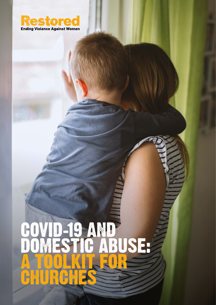

# **S AND 19 AND** DOMESTIC ABUSE:<br>A TOOLKIT FOR CHURCHES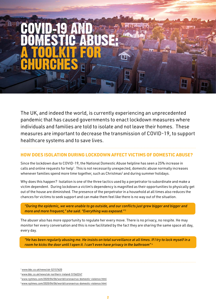# COVID-19 AND DOMESTIC ABUSE:<br>A TOOLKIT FOR **CHURCHES**

The UK, and indeed the world, is currently experiencing an unprecedented pandemic that has caused governments to enact lockdown measures where individuals and families are told to isolate and not leave their homes. These measures are important to decrease the transmission of COVID-19, to support healthcare systems and to save lives.

# **HOW DOES ISOLATION DURING LOCKDOWN AFFECT VICTIMS OF DOMESTIC ABUSE?**

Since the lockdown due to COVID-19, the National Domestic Abuse helpline has seen a 25% increase in calls and online requests for help<sup>1</sup>. This is not necessarily unexpected, domestic abuse normally increases whenever families spend more time together, such as Christmas<sup>2</sup> and during summer holidays.

Why does this happen? Isolation is one of the three tactics used by a perpetrator to subordinate and make a victim dependent. During lockdown a victim's dependency is magnified as their opportunities to physically get out of the house are diminished. The presence of the perpetrator in a household at all times also reduces the chances for victims to seek support and can make them feel like there is no way out of the situation.

*"During the epidemic, we were unable to go outside, and our conflicts just grew bigger and bigger and more and more frequent," she said. "Everything was exposed."* <sup>3</sup>

The abuser also has more opportunity to regulate her every move. There is no privacy, no respite. He may monitor her every conversation and this is now facilitated by the fact they are sharing the same space all day, every day.

*"He has been regularly abusing me. He insists on total surveillance at all times. If I try to lock myself in a room he kicks the door until I open it. I can't even have privacy in the bathroom"* <sup>4</sup>

<sup>1</sup> [www.bbc.co.uk/news/uk-52157620](https://www.bbc.co.uk/news/uk-52157620)

<sup>2</sup> [www.bbc.co.uk/news/uk-northern-ireland-51562247](https://www.bbc.co.uk/news/uk-northern-ireland-51562247)

<sup>3</sup> [www.nytimes.com/2020/04/06/world/coronavirus-domestic-violence.html](https://www.nytimes.com/2020/04/06/world/coronavirus-domestic-violence.html)

<sup>4</sup> [www.nytimes.com/2020/04/06/world/coronavirus-domestic-violence.html](https://www.nytimes.com/2020/04/06/world/coronavirus-domestic-violence.html)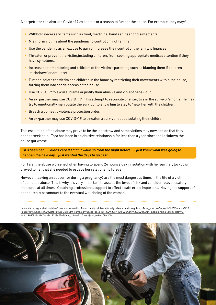A perpetrator can also use Covid -19 as a tactic or a reason to further the abuse. For example, they may:5

- Withhold necessary items such as food, medicine, hand sanitiser or disinfectants.
- Misinform victims about the pandemic to control or frighten them.
- Use the pandemic as an excuse to gain or increase their control of the family's finances.
- Threaten or prevent the victim,including children, from seeking appropriate medical attention if they have symptoms.
- Increase their monitoring and criticism of the victim's parenting such as blaming them if children 'misbehave' or are upset.
- Further isolate the victim and children in the home by restricting their movements within the house, forcing them into specific areas of the house.
- Use COVID-19 to excuse, blame or justify their abusive and violent behaviour.
- An ex-partner may use COVID-19 in his attempt to reconcile or enter/live in the survivor's home. He may try to emotionally manipulate the survivor to allow him to stay to 'help' her with the children.
- Breach a domestic violence protection order.
- An ex-partner may use COVID-19 to threaten a survivor about isolating their children.

This escalation of the abuse may prove to be the last straw and some victims may now decide that they need to seek help. Tara has been in an abusive relationship for less than a year, since the lockdown the abuse got worse.

*"It's been bad… I didn't care if I didn't wake up from the night before... I just knew what was going to happen the next day, I just wanted the days to go past.*

For Tara, the abuse worsened when having to spend 24 hours a day in isolation with her partner; lockdown proved to her that she needed to escape her relationship forever.

However, leaving an abuser (or during a pregnancy) are the most dangerous times in the life of a victim of domestic abuse. This is why it is very important to assess the level of risk and consider relevant safety measures at all times. Obtaining professional support to effect a safe exit is important. Having the support of her church is paramount to the eventual well-being of the woman.

5 [www.dvrcv.org.au/help-advice/coronavirus-covid-19-and-family-violence/family-friends-and-neighbours?utm\\_source=Domestic%20Violence%20](http://www.dvrcv.org.au/help-advice/coronavirus-covid-19-and-family-violence/family-friends-and-neighbours?utm_source=Domestic%20Violence%20Resource%20Centre%20Victoria%20List&utm_campaign=6a31c7aa43-DVRCV%20eNews%20April%202020&utm_medium=email&utm_term=0_db8d196d05-6a31c7aa43-1212340565&mc_cid=6a31c7aa43&mc_eid=6c0fcc3f4e) [Resource%20Centre%20Victoria%20List&utm\\_campaign=6a31c7aa43-DVRCV%20eNews%20April%202020&utm\\_medium=email&utm\\_term=0\\_](http://www.dvrcv.org.au/help-advice/coronavirus-covid-19-and-family-violence/family-friends-and-neighbours?utm_source=Domestic%20Violence%20Resource%20Centre%20Victoria%20List&utm_campaign=6a31c7aa43-DVRCV%20eNews%20April%202020&utm_medium=email&utm_term=0_db8d196d05-6a31c7aa43-1212340565&mc_cid=6a31c7aa43&mc_eid=6c0fcc3f4e) [db8d196d05-6a31c7aa43-1212340565&mc\\_cid=6a31c7aa43&mc\\_eid=6c0fcc3f4e](http://www.dvrcv.org.au/help-advice/coronavirus-covid-19-and-family-violence/family-friends-and-neighbours?utm_source=Domestic%20Violence%20Resource%20Centre%20Victoria%20List&utm_campaign=6a31c7aa43-DVRCV%20eNews%20April%202020&utm_medium=email&utm_term=0_db8d196d05-6a31c7aa43-1212340565&mc_cid=6a31c7aa43&mc_eid=6c0fcc3f4e)

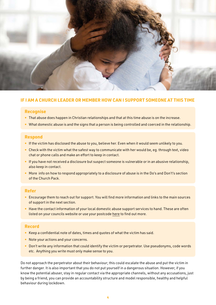

# **IF I AM A CHURCH LEADER OR MEMBER HOW CAN I SUPPORT SOMEONE AT THIS TIME**

#### **Recognise**

- That abuse does happen in Christian relationships and that at this time abuse is on the increase.
- What domestic abuse is and the signs that a person is being controlled and coerced in the relationship.

#### **Respond**

- If the victim has disclosed the abuse to you, believe her. Even when it would seem unlikely to you.
- Check with the victim what the safest way to communicate with her would be, eg. through text, video chat or phone calls and make an effort to keep in contact.
- If you have not received a disclosure but suspect someone is vulnerable or in an abusive relationship, also keep in contact.
- More info on how to respond appropriately to a disclosure of abuse is in the Do's and Don't's section of the Church Pack.

#### **Refer**

- Encourage them to reach out for support. You will find more information and links to the main sources of support in the next section.
- Have the contact information of your local domestic abuse support services to hand. These are often listed on your councils website or use your postcode [here](https://www.womensaid.org.uk/domestic-abuse-directory/) to find out more.

#### **Record**

- Keep a confidential note of dates, times and quotes of what the victim has said.
- Note your actions and your concerns.
- Don't write any information that could identify the victim or perpetrator. Use pseudonyms, code words etc. Anything you write must only make sense to you.

Do not approach the perpetrator about their behaviour; this could escalate the abuse and put the victim in further danger. It is also important that you do not put yourself in a dangerous situation. However, if you know the potential abuser, stay in regular contact via the appropriate channels, without any accusations, just by being a friend, you can provide an accountability structure and model responsible, healthy and helpful behaviour during lockdown.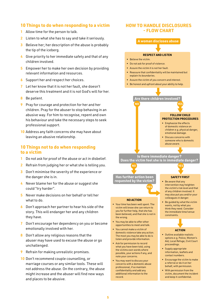#### **10 Things to do when responding to a victim**

- 1 Allow time for the person to talk.
- 2 Listen to what she has to say and take it seriously.
- **3** Believe her; her description of the abuse is probably the tip of the iceberg.
- 4 Give priority to her immediate safety and that of any children involved.
- 5 Empower her to make her own decision by providing relevant information and resources.
- 6 Support her and respect her choices.
- 7 Let her know that it is not her fault, she doesn't deserve this treatment and it is not God's will for her.
- 8 Be patient.
- 9 Pray for courage and protection for her and her children. Pray for the abuser to stop behaving in an abusive way. For him to recognise, repent and own his behaviour and take the necessary steps to seek professional support.
- 10 Address any faith concerns she may have about leaving an abusive relationship.

#### **10 Things not to do when responding to a victim**

- 1 Do not ask for proof of the abuse or act in disbelief.
- 2 Refrain from judging her or what she is telling you.
- 3 Don't minimise the severity of the experience or the danger she is in.
- 4 Never blame her for the abuse or suggest she could "try harder".
- 5 Never make decisions on her behalf or tell her what to do.
- 6 Don't approach her partner to hear his side of the story. This will endanger her and any children they have.
- 7 Don't encourage her dependency on you or become emotionally involved with her.
- 8 Don't allow any religious reasons that the abuser may have used to excuse the abuse or go unchallenged.
- **9** Refrain for making unrealistic promises.
- 10 Don't recommend couple counselling, or marriage courses or any similar tools. These will not address the abuse. On the contrary, the abuse might increase and the abuser will find new ways and places to be abusive.

#### **HOW TO HANDLE DISCLOSURES - FLOW CHART**

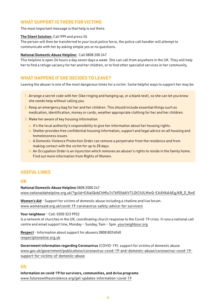# **WHAT SUPPORT IS THERE FOR VICTIMS**

The most important message is that help is out there.

#### [The Silent Solution:](https://www.policeconduct.gov.uk/sites/default/files/Documents/research-learning/Silent_solution_guide.pdf) Call 999 and press 55

The person will then be transferred to your local police force, the police call handler will attempt to communicate with her by asking simple yes or no questions.

#### [National Domestic Abuse Helpline:](https://www.nationaldahelpline.org.uk/) Call 0808 200 247

This helpline is open 24 hours a day seven days a week. She can call from anywhere in the UK. They will help her to find a refuge vacancy for her and her children, or to find other specialist services in her community.

# **WHAT HAPPENS IF SHE DECIDES TO LEAVE?**

Leaving the abuser is one of the most dangerous times for a victim. Some helpful ways to support her may be:

- 1. Arrange a secret code with her (like ringing and hanging up, or a blank text), so she can let you know she needs help without calling you.
- 2. Keep an emergency bag for her and her children. This should include essential things such as medication, identification, money or cards, weather appropriate clothing for her and her children.
- 3. Make her aware of key housing information
	- a. It's the local authority's responsibility to give her information about her housing rights.
	- b. Shelter provides free confidential housing information, support and legal advice on all housing and homelessness issues.
	- c. A Domestic Violence Protection Order can remove a perpetrator from the residence and from making contact with the victim for up to 28 days.
	- d. An Occupation Order is an injunction which removes an abuser's rights to reside in the family home. Find out more information from Rights of Women.

# **USEFUL LINKS**

## **UK**

National Domestic Abuse Helpline 0808 2000 247 [www.nationaldahelpline.org.uk/?gclid=EAIaIQobChMIu7vT69Dl6AIVTLDtCh3LMwQ-EAAYAiAAEgJKB\\_D\\_BwE](https://www.nationaldahelpline.org.uk/?gclid=EAIaIQobChMIu7vT69Dl6AIVTLDtCh3LMwQ-EAAYAiAAEgJKB_D_BwE)

[Women's Aid](https://www.womensaid.org.uk/covid-19-coronavirus-safety-advice-for-survivors/) - Support for victims of domestic abuse including a chatline and live forum. [www.womensaid.org.uk/covid-19-coronavirus-safety-advice-for-survivors](https://www.womensaid.org.uk/covid-19-coronavirus-safety-advice-for-survivors/)

#### Your neighbour - Call: 0300 323 9952

Is a network of churches in the UK, coordinating church response to the Covid-19 crisis. It runs a national call centre and email support line, Monday – Sunday, 9am – 5pm. [yourneighbour.org](https://yourneighbour.org/)

[Respect](https://respectphoneline.org.uk/) - Information about support for abusers 0808 8024040 [respectphoneline.org.uk](https://respectphoneline.org.uk/)

Government information regarding Coronavirus (COVID-19): support for victims of domestic abuse [www.gov.uk/government/publications/coronavirus-covid-19-and-domestic-abuse/coronavirus-covid-19](https://www.gov.uk/government/publications/coronavirus-covid-19-and-domestic-abuse/coronavirus-covid-19-support-for-victims-of-domestic-abuse) [support-for-victims-of-domestic-abuse](https://www.gov.uk/government/publications/coronavirus-covid-19-and-domestic-abuse/coronavirus-covid-19-support-for-victims-of-domestic-abuse)

# **US**

Information on covid-19 for survivors, communities, and dv/sa programs [www.futureswithoutviolence.org/get-updates-information-covid-19](https://www.futureswithoutviolence.org/get-updates-information-covid-19/)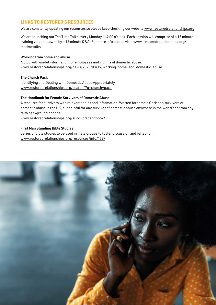# **LINKS TO RESTORED'S RESOURCES**

We are constantly updating our resources so please keep checking our website [www.restoredrelationships.org.](http://www.restoredrelationships.org)

We are launching our Tea Time Talks every Monday at 4:00 o'clock. Each session will comprise of a 15 minute training video followed by a 15 minute Q&A. For more info please visit. www. restoredrelationships.org/ teatimetalks

#### Working from home and abuse

A blog with useful information for employees and victims of domestic abuse. [www.restoredrelationships.org/news/2020/03/19/working-home-and-domestic-abuse](https://www.restoredrelationships.org/news/2020/03/19/working-home-and-domestic-abuse/)

#### The Church Pack

Identifying and Dealing with Domestic Abuse Appropriately [www.restoredrelationships.org/search/?q=church+pack](https://www.restoredrelationships.org/search/?q=church+pack)

#### The Handbook for Female Survivors of Domestic Abuse

A resource for survivors with relevant topics and information. Written for female Christian survivors of domestic abuse in the UK, but helpful for any survivor of domestic abuse anywhere in the world and from any faith background or none.

[www.restoredrelationships.org/survivorshandbook/](https://www.restoredrelationships.org/news/2020/03/19/working-home-and-domestic-abuse/)

#### First Man Standing Bible Studies

Series of bible studies to be used in male groups to foster discussion and reflection. [www.restoredrelationships.org/resources/info/138/](https://www.restoredrelationships.org/resources/info/138/)